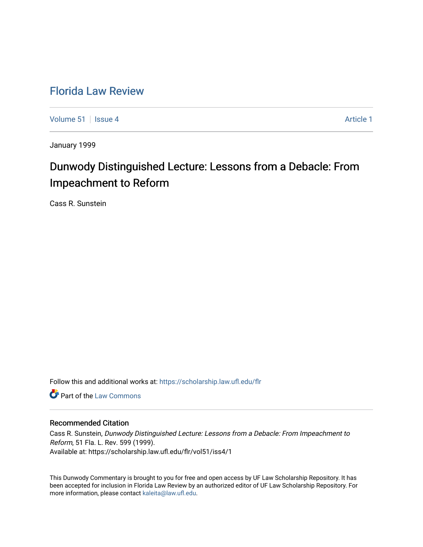## [Florida Law Review](https://scholarship.law.ufl.edu/flr)

[Volume 51](https://scholarship.law.ufl.edu/flr/vol51) | [Issue 4](https://scholarship.law.ufl.edu/flr/vol51/iss4) Article 1

January 1999

# Dunwody Distinguished Lecture: Lessons from a Debacle: From Impeachment to Reform

Cass R. Sunstein

Follow this and additional works at: [https://scholarship.law.ufl.edu/flr](https://scholarship.law.ufl.edu/flr?utm_source=scholarship.law.ufl.edu%2Fflr%2Fvol51%2Fiss4%2F1&utm_medium=PDF&utm_campaign=PDFCoverPages)

**Part of the [Law Commons](http://network.bepress.com/hgg/discipline/578?utm_source=scholarship.law.ufl.edu%2Fflr%2Fvol51%2Fiss4%2F1&utm_medium=PDF&utm_campaign=PDFCoverPages)** 

### Recommended Citation

Cass R. Sunstein, Dunwody Distinguished Lecture: Lessons from a Debacle: From Impeachment to Reform, 51 Fla. L. Rev. 599 (1999). Available at: https://scholarship.law.ufl.edu/flr/vol51/iss4/1

This Dunwody Commentary is brought to you for free and open access by UF Law Scholarship Repository. It has been accepted for inclusion in Florida Law Review by an authorized editor of UF Law Scholarship Repository. For more information, please contact [kaleita@law.ufl.edu.](mailto:kaleita@law.ufl.edu)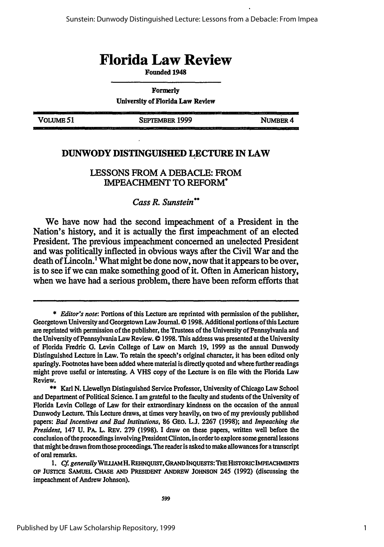## **Florida Law Review**

**Founded 1948**

**Formerly University of Florida Law Review**

**VoLuME51 SEPTEMBER 1999 NUMBER 4**

## **DUNWODY DISTINGUISHED LECTURE IN LAW**

### **LESSONS** FROM **A DEBACLE:** FROM IMPEACHMENT TO REFORM\*

## *Cass R. Sunstein\**

We have now had the second impeachment of a President in the Nation's history, and it is actually the first impeachment of an elected President. The previous impeachment concerned an unelected President and was politically inflected in obvious ways after the Civil War and the death of  $\mathring{\text{L}}$  incoln.<sup>1</sup> What might be done now, now that it appears to be over, is to see if we can make something good of it. Often in American history, when we have had a serious problem, there have been reform efforts that

*1, Cf generally* **WHl/AMH.** *REHNQUIST,* **GRANDINQUESTS:THE HISTORICIMPEACHMENTS OF JUSTICE SAMUEL CHASE AND PRESIDENT ANDREW JOHNSON** 245 (1992) (discussing the impeachment of Andrew Johnson).

**<sup>\*</sup>** *Editor's note:* Portions of this Lecture are reprinted with permission of the publisher, Georgetown University and Georgetown Law Journal. © **1998.** Additional portions of this Lecture are reprinted with permission of the publisher, the Trustees of the University of Pennsylvania and the University of Pennsylvania Law Review. © **1998.** This address was presented at the University of Florida Fredric **G.** Levin College of Law on March 19, 1999 as the annual Dunwody Distinguished Lecture in Law. To retain the speech's original character, it has been edited only sparingly. Footnotes have been added where material is directly quoted and where further readings might prove useful or interesting. A **VHS** copy of the Lecture is on file with the Florida Law Review.

<sup>\*\*</sup> Karl N. Llewellyn Distinguished Service Professor, University of Chicago Law School and Department of Political Science. I am grateful to the faculty and students of the University of Florida Levin College of Law for their extraordinary kindness on the occasion of the annual Dunwody Lecture. This Lecture draws, at times very heavily, on two of my previously published papers: *Bad Incentives and Bad Institutions,* 86 GEo. **L.J.** 2267 (1998); and *Impeaching the President,* 147 **U.** PA. L. REv. **279** (1998). I draw on these papers, written well before the conclusion of the proceedings involving President Clinton, in order to explore some general lessons that might be drawn from those proceedings. The reader **is** asked to make allowances for a transcript of oral remarks.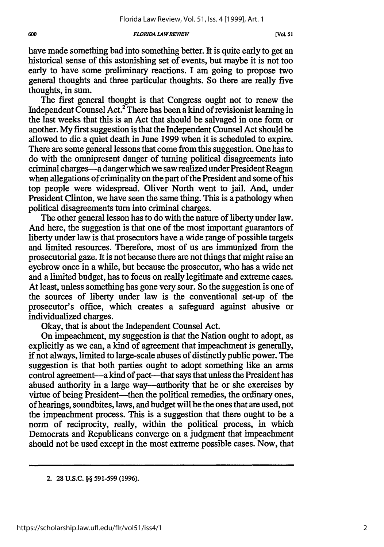have made something bad into something better. It is quite early to get an historical sense of this astonishing set of events, but maybe it is not too early to have some preliminary reactions. I am going to propose two general thoughts and three particular thoughts. So there are really five thoughts, in sum.

The first general thought is that Congress ought not to renew the Independent Counsel Act.<sup>2</sup> There has been a kind of revisionist learning in the last weeks that this is an Act that should be salvaged in one form or another. My first suggestion is that the Independent Counsel Act should be allowed to die a quiet death in June 1999 when it is scheduled to expire. There are some general lessons that come from this suggestion. One has to do with the omnipresent danger of turning political disagreements into criminal charges-a danger which we saw realized under President Reagan when allegations of criminality on the part of the President and some of his top people were widespread. Oliver North went to jail. And, under President Clinton, we have seen the same thing. This is a pathology when political disagreements turn into criminal charges.

The other general lesson has to do with the nature of liberty under law. And here, the suggestion is that one of the most important guarantors of liberty under law is that prosecutors have a wide range of possible targets and limited resources. Therefore, most of us are immunized from the prosecutorial gaze. It is not because there are not things that might raise an eyebrow once in a while, but because the prosecutor, who has a wide net and a limited budget, has to focus on really legitimate and extreme cases. At least, unless something has gone very sour. So the suggestion is one of the sources of liberty under law is the conventional set-up of the prosecutor's office, which creates a safeguard against abusive or individualized charges.

Okay, that is about the Independent Counsel Act.

On impeachment, my suggestion is that the Nation ought to adopt, as explicitly as we can, a kind of agreement that impeachment is generally, if not always, limited to large-scale abuses of distinctly public power. The suggestion is that both parties ought to adopt something like an arms control agreement—a kind of pact—that says that unless the President has abused authority in a large way—authority that he or she exercises by virtue of being President—then the political remedies, the ordinary ones, of hearings, soundbites, laws, and budget will be the ones that are used, not the impeachment process. This is a suggestion that there ought to be a norm of reciprocity, really, within the political process, in which Democrats and Republicans converge on a judgment that impeachment should not be used except in the most extreme possible cases. Now, that

**<sup>2. 28</sup> U.S.C.** §§ **591-599 (1996).**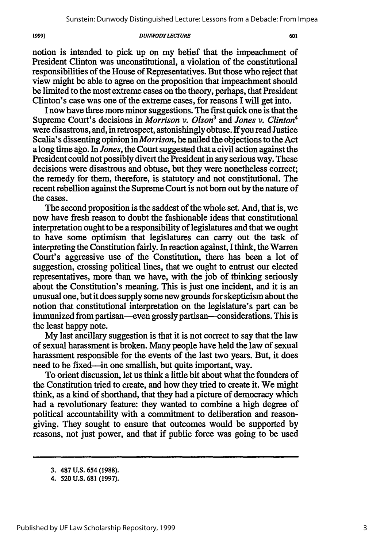notion is intended to pick up on my belief that the impeachment of President Clinton was unconstitutional, a violation of the constitutional responsibilities of the House of Representatives. But those who reject that view might be able to agree on the proposition that impeachment should be limited to the most extreme cases on the theory, perhaps, that President Clinton's case was one of the extreme cases, for reasons I will get into.

I now have three more minor suggestions. The first quick one is that the Supreme Court's decisions in *Morrison v. Olson' and Jones v. Clinton4* were disastrous, and, in retrospect, astonishingly obtuse. If you read Justice Scalia's dissenting opinion in *Morrison,* he nailed the objections to the Act a long time ago. In *Jones,* the Court suggested that a civil action against the President could not possibly divert the President in any serious way. These decisions were disastrous and obtuse, but they were nonetheless correct; the remedy for them, therefore, is statutory and not constitutional. The recent rebellion against the Supreme Court is not born out by the nature of the cases.

The second proposition is the saddest of the whole set. And, that is, we now have fresh reason to doubt the fashionable ideas that constitutional interpretation ought to be a responsibility of legislatures and that we ought to have some optimism that legislatures can carry out the task of interpreting the Constitution fairly. In reaction against, I think, the Warren Court's aggressive use of the Constitution, there has been a lot of suggestion, crossing political lines, that we ought to entrust our elected representatives, more than we have, with the job of thinking seriously about the Constitution's meaning. This is just one incident, and it is an unusual one, but it does supply some new grounds for skepticism about the notion that constitutional interpretation on the legislature's part can be immunized from partisan-even grossly partisan-considerations. This is the least happy note.

My last ancillary suggestion is that it is not correct to say that the law of sexual harassment is broken. Many people have held the law of sexual harassment responsible for the events of the last two years. But, it does need to be fixed—in one smallish, but quite important, way.

To orient discussion, let us think a little bit about what the founders of the Constitution tried to create, and how they tried to create it. We might think, as a kind of shorthand, that they had a picture of democracy which had a revolutionary feature: they wanted to combine a high degree of political accountability with a commitment to deliberation and reasongiving. They sought to ensure that outcomes would be supported by reasons, not just power, and that if public force was going to be used

1999]

<sup>3. 487</sup> U.S. 654 (1988).

<sup>4.</sup> **520 U.S.** 681 (1997).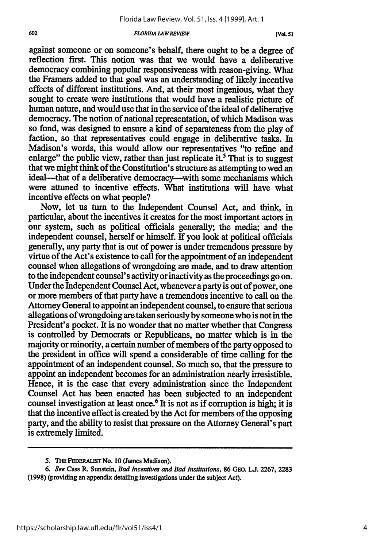#### *602 FLORIDA LAW REVIEW* **[VoL 51**

against someone or on someone's behalf, there ought to be a degree of reflection first. This notion was that we would have a deliberative democracy combining popular responsiveness with reason-giving. What the Framers added to that goal was an understanding of likely incentive effects of different institutions. And, at their most ingenious, what they sought to create were institutions that would have a realistic picture of human nature, and would use that in the service of the ideal of deliberative democracy. The notion of national representation, of which Madison was so fond, was designed to ensure a kind of separateness from the play of faction, so that representatives could engage in deliberative tasks. In Madison's words, this would allow our representatives "to refine and enlarge" the public view, rather than just replicate it.<sup>5</sup> That is to suggest that we might think of the Constitution's structure as attempting to wed an ideal—that of a deliberative democracy—with some mechanisms which were attuned to incentive effects. What institutions will have what incentive effects on what people?

Now, let us turn to the Independent Counsel Act, and think, in particular, about the incentives it creates for the most important actors in our system, such as political officials generally; the media; and the independent counsel, herself or himself. If you look at political officials generally, any party that is out of power is under tremendous pressure by virtue of the Act's existence to call for the appointment of an independent counsel when allegations of wrongdoing are made, and to draw attention to the independent counsel's activity or inactivity as the proceedings go on. Under the Independent Counsel Act, whenever a party is out of power, one or more members of that party have a tremendous incentive to call on the Attorney General to appoint an independent counsel, to ensure that serious allegations of wrongdoing are taken seriously by someone who is not in the President's pocket. It is no wonder that no matter whether that Congress is controlled by Democrats or Republicans, no matter which is in the majority or minority, a certain number of members of the party opposed to the president in office will spend a considerable of time calling for the appointment of an independent counsel. So much so, that the pressure to appoint an independent becomes for an administration nearly irresistible. Hence, it is the case that every administration since the Independent Counsel Act has been enacted has been subjected to an independent counsel investigation at least once.6 It is not as **if** corruption is high; it is that the incentive effect is created by the Act for members of the opposing party, and the ability to resist that pressure on the Attorney General's part is extremely limited.

**<sup>5.</sup> Tm FEDERALST No. 10 (James Madison).**

*<sup>6.</sup> See* **Cass R. Sunstein,** *Bad Incentives and Bad Institutions,* **86 GEO. L.J. 2267, 2283 (1998) (providing an appendix detailing investigations under the subject Act).**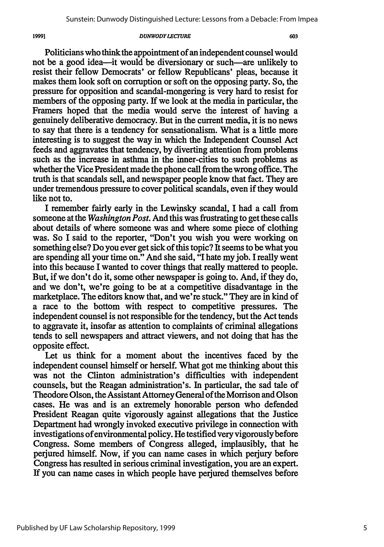1999]

Politicians who think the appointment of an independent counsel would not be a good idea-it would be diversionary or such-are unlikely to resist their fellow Democrats' or fellow Republicans' pleas, because it makes them look soft on corruption or soft on the opposing party. So, the pressure for opposition and scandal-mongering is very hard to resist for members of the opposing party. If we look at the media in particular, the Framers hoped that the media would serve the interest of having a genuinely deliberative democracy. But in the current media, it is no news to say that there is a tendency for sensationalism. What is a little more interesting is to suggest the way in which the Independent Counsel Act feeds and aggravates that tendency, by diverting attention from problems such as the increase in asthma in the inner-cities to such problems as whether the Vice President made the phone call from the wrong office. The truth is that scandals sell, and newspaper people know that fact. They are under tremendous pressure to cover political scandals, even if they would like not to.

I remember fairly early in the Lewinsky scandal, I had a call from someone at the *Washington Post.* And this was frustrating to get these calls about details of where someone was and where some piece of clothing was. So I said to the reporter, "Don't you wish you were working on something else? Do you ever get sick of this topic? It seems to be what you are spending all your time on." And she said, "I hate my job. I really went into this because I wanted to cover things that really mattered to people. But, if we don't do it, some other newspaper is going to. And, if they do, and we don't, we're going to be at a competitive disadvantage in the marketplace. The editors know that, and we're stuck." They are in kind of a race to the bottom with respect to competitive pressures. The independent counsel is not responsible for the tendency, but the Act tends to aggravate it, insofar as attention to complaints of criminal allegations tends to sell newspapers and attract viewers, and not doing that has the opposite effect.

Let us think for a moment about the incentives faced by the independent counsel himself or herself. What got me thinking about this was not the Clinton administration's difficulties with independent counsels, but the Reagan administration's. In particular, the sad tale of Theodore Olson, the Assistant Attorney General of the Morrison and Olson cases. He was and is an extremely honorable person who defended President Reagan quite vigorously against allegations that the Justice Department had wrongly invoked executive privilege in connection with investigations of environmental policy. He testified very vigorously before Congress. Some members of Congress alleged, implausibly, that he perjured himself. Now, if you can name cases in which perjury before Congress has resulted in serious criminal investigation, you are an expert. If you can name cases in which people have perjured themselves before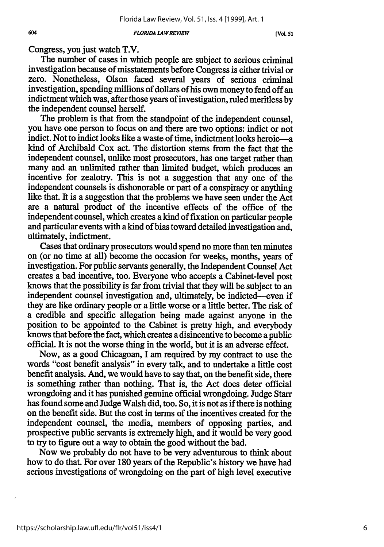**[VCOL** *51*

Congress, you just watch T.V.

The number of cases in which people are subject to serious criminal investigation because of misstatements before Congress is either trivial or zero. Nonetheless, Olson faced several years of serious criminal investigation, spending millions of dollars of his own money to fend off an indictment which was, after those years of investigation, ruled meritless **by** the independent counsel herself.

The problem is that from the standpoint of the independent counsel, you have one person to focus on and there are two options: indict or not indict. Not to indict looks like a waste of time, indictment looks heroic—a kind of Archibald Cox act. The distortion stems from the fact that the independent counsel, unlike most prosecutors, has one target rather than many and an unlimited rather than limited budget, which produces an incentive for zealotry. This is not a suggestion that any one of the independent counsels is dishonorable or part of a conspiracy or anything like that. It is a suggestion that the problems we have seen under the Act are a natural product of the incentive effects of the office of the independent counsel, which creates a kind of fixation on particular people and particular events with a kind of bias toward detailed investigation and, ultimately, indictment.

Cases that ordinary prosecutors would spend no more than ten minutes on (or no time at all) become the occasion for weeks, months, years of investigation. For public servants generally, the Independent Counsel Act creates a bad incentive, too. Everyone who accepts a Cabinet-level post knows that the possibility is far from trivial that they will be subject to an independent counsel investigation and, ultimately, be indicted-even if they are like ordinary people or a little worse or a little better. The risk of a credible and specific allegation being made against anyone in the position to be appointed to the Cabinet is pretty high, and everybody knows that before the fact, which creates a disincentive to become a public official. It is not the worse thing in the world, but it is an adverse effect.

Now, as a good Chicagoan, I am required by my contract to use the words "cost benefit analysis" in every talk, and to undertake a little cost benefit analysis. And, we would have to say that, on the benefit side, there is something rather than nothing. That is, the Act does deter official wrongdoing and it has punished genuine official wrongdoing. Judge Starr has found some and Judge Walsh did, too. So, it is not as if there is nothing on the benefit side. But the cost in terms of the incentives created for the independent counsel, the media, members of opposing parties, and prospective public servants is extremely high, and it would be very good to try to figure out a way to obtain the good without the bad.

Now we probably do not have to be very adventurous to think about how to do that. For over 180 years of the Republic's history we have had serious investigations of wrongdoing on the part of high level executive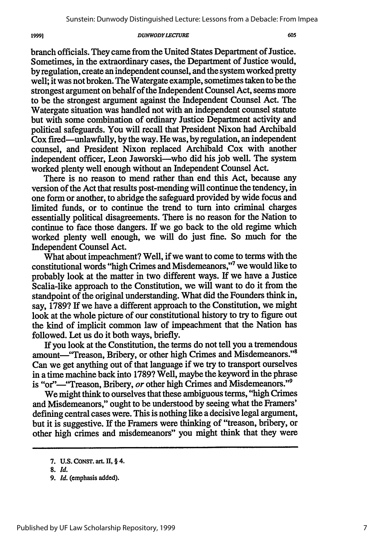branch officials. They came from the United States Department of Justice. Sometimes, in the extraordinary cases, the Department of Justice would, by regulation, create an independent counsel, and the system worked pretty well; it was not broken. The Watergate example, sometimes taken to be the strongest argument on behalf of the Independent Counsel Act, seems more to be the strongest argument against the Independent Counsel Act. The Watergate situation was handled not with an independent counsel statute but with some combination of ordinary Justice Department activity and political safeguards. You will recall that President Nixon had Archibald Cox fired-unlawfully, by the way. He was, by regulation, an independent counsel, and President Nixon replaced Archibald Cox with another independent officer, Leon Jaworski—who did his job well. The system worked plenty well enough without an Independent Counsel Act.

There is no reason to mend rather than end this Act, because any version of the Act that results post-mending will continue the tendency, in one form or another, to abridge the safeguard provided by wide focus and limited funds, or to continue the trend to turn into criminal charges essentially political disagreements. There is no reason for the Nation to continue to face those dangers. If we go back to the old regime which worked plenty well enough, we will do just fine. So much for the Independent Counsel Act.

What about impeachment? Well, if we want to come to terms with the constitutional words "high Crimes and Misdemeanors,"7 we would like to probably look at the matter in two different ways. If we have a Justice Scalia-like approach to the Constitution, we will want to do it from the standpoint of the original understanding. What did the Founders think in, say, 1789? If we have a different approach to the Constitution, we might look at the whole picture of our constitutional history to try to figure out the kind of implicit common law of impeachment that the Nation has followed. Let us do it both ways, briefly.

If you look at the Constitution, the terms do not tell you a tremendous amount-"Treason, Bribery, or other high Crimes and Misdemeanors."<sup>8</sup> Can we get anything out of that language if we try to transport ourselves in a time machine back into 1789? Well, maybe the keyword in the phrase is "or"-"Treason, Bribery, or other high Crimes and Misdemeanors."<sup>9</sup>

We might think to ourselves that these ambiguous terms, "high Crimes and Misdemeanors," ought to be understood by seeing what the Framers' defining central cases were. This is nothing like a decisive legal argument, but it is suggestive. If the Framers were thinking of "treason, bribery, or other high crimes and misdemeanors" you might think that they were

19991

**<sup>7.</sup> U.S.** CONST. art **H,** § 4.

**<sup>8.</sup>** *Id.*

*<sup>9.</sup> Id.* (emphasis added).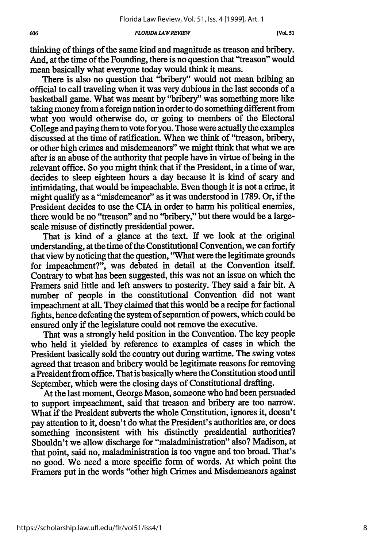thinking of things of the same kind and magnitude as treason and bribery. And, at the time of the Founding, there is no question that "treason" would mean basically what everyone today would think it means.

There is also no question that "bribery" would not mean bribing an official to call traveling when it was very dubious in the last seconds of a basketball game. What was meant by "bribery" was something more like taking money from a foreign nation in order to do something different from what you would otherwise do, or going to members of the Electoral College and paying them to vote for you. Those were actually the examples discussed at the time of ratification. When we think of "treason, bribery, or other high crimes and misdemeanors" we might think that what we are after is an abuse of the authority that people have in virtue of being in the relevant office. So you might think that if the President, in a time of war, decides to sleep eighteen hours a day because it is kind of scary and intimidating, that would be impeachable. Even though it is not a crime, it might qualify as a "misdemeanor" as it was understood in 1789. Or, if the President decides to use the CIA in order to harm his political enemies, there would be no "treason" and no "bribery," but there would be a largescale misuse of distinctly presidential power.

That is kind of a glance at the text. If we look at the original understanding, at the time of the Constitutional Convention, we can fortify that view by noticing that the question, "What were the legitimate grounds for impeachment?", was debated in detail at the Convention itself. Contrary to what has been suggested, this was not an issue on which the Framers said little and left answers to posterity. They said a fair bit. A number of people in the constitutional Convention did not want impeachment at all. They claimed that this would be a recipe for factional fights, hence defeating the system of separation of powers, which could be ensured only if the legislature could not remove the executive.

That was a strongly held position in the Convention. The key people who held it yielded by reference to examples of cases in which the President basically sold the country out during wartime. The swing votes agreed that treason and bribery would be legitimate reasons for removing a President from office. That is basically where the Constitution stood until September, which were the closing days of Constitutional drafting.

At the last moment, George Mason, someone who had been persuaded to support impeachment, said that treason and bribery are too narrow. What if the President subverts the whole Constitution, ignores it, doesn't pay attention to it, doesn't do what the President's authorities are, or does something inconsistent with his distinctly presidential authorities? Shouldn't we allow discharge for "maladministration" also? Madison, at that point, said no, maladministration is too vague and too broad. That's no good. We need a more specific form of words. At which point the Framers put in the words "other high Crimes and Misdemeanors against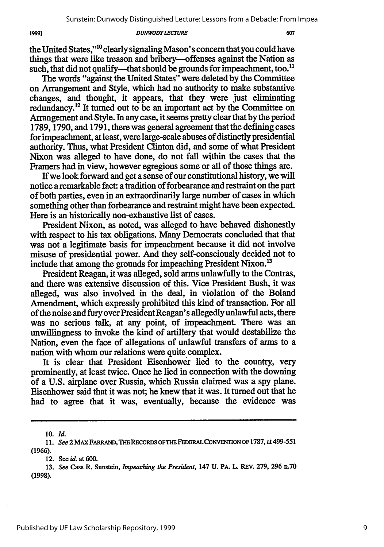the United States,"<sup>10</sup> clearly signaling Mason's concern that you could have things that were like treason and bribery-offenses against the Nation as such, that did not qualify—that should be grounds for impeachment, too.<sup>11</sup>

The words "against the United States" were deleted **by** the Committee on Arrangement and Style, which had no authority to make substantive changes, and thought, it appears, that they were just eliminating redundancy.<sup>12</sup> It turned out to be an important act by the Committee on Arrangement and Style. In any case, it seems pretty clear that **by** the period **1789, 1790,** and **1791,** there was general agreement that the defining cases for impeachment, at least, were large-scale abuses of distinctly presidential authority. Thus, what President Clinton did, and some of what President Nixon was alleged to have done, do not fall within the cases that the Framers had in view, however egregious some or all of those things are.

If we look forward and get a sense of our constitutional history, we will notice a remarkable fact: a tradition of forbearance and restraint on the part of both parties, even in an extraordinarily large number of cases in which something other than forbearance and restraint might have been expected. Here is an historically non-exhaustive list of cases.

President Nixon, as noted, was alleged to have behaved dishonestly with respect to his tax obligations. Many Democrats concluded that that was not a legitimate basis for impeachment because it did not involve misuse of presidential power. And they self-consciously decided not to include that among the grounds for impeaching President Nixon.<sup>13</sup>

President Reagan, it was alleged, sold arms unlawfully to the Contras, and there was extensive discussion of this. Vice President Bush, it was alleged, was also involved in the deal, in violation of the Boland Amendment, which expressly prohibited this kind of transaction. For all of the noise and fury over President Reagan's allegedly unlawful acts, there was no serious talk, at any point, of impeachment. There was an unwillingness to invoke the kind of artillery that would destabilize the Nation, even the face of allegations of unlawful transfers of arms to a nation with whom our relations were quite complex.

It is clear that President Eisenhower lied to the country, very prominently, at least twice. Once he lied in connection with the downing of a U.S. airplane over Russia, which Russia claimed was a spy plane. Eisenhower said that it was not; he knew that it was. It turned out that he had to agree that it was, eventually, because the evidence was

19991

**<sup>10.</sup>** *Id.*

**<sup>11.</sup>** *See* **2 MAX** FARRAND, **THE RECORDS OFTHE FEDERALCONVENTIONOF 1787,** at **499-551 (1966).**

**<sup>12.</sup> See** id. at **600.**

**<sup>13.</sup>** *See* Cass R. Sunstein, *Impeaching the President,* 147 **U. PA.** L. REV. **279, 296** n.70 **(1998).**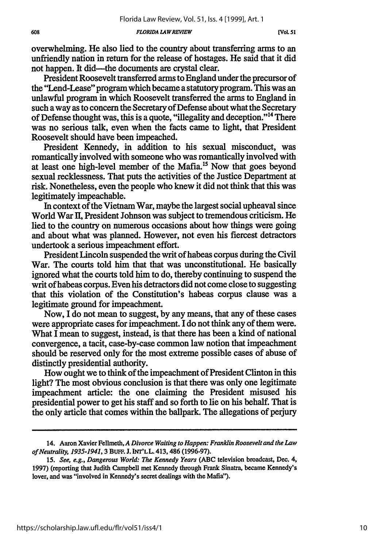overwhelming. He also lied to the country about transferring arms to an unfriendly nation in return for the release of hostages. He said that it did not happen. It did—the documents are crystal clear.

President Roosevelt transferred arms to England under the precursor of the "Lend-Lease" program which became a statutory program. This was an unlawful program in which Roosevelt transferred the arms to England in such a way as to concern the Secretary of Defense about what the Secretary of Defense thought was, this is a quote, "illegality and deception." 14 There was no serious talk, even when the facts came to light, that President Roosevelt should have been impeached.

President Kennedy, in addition to his sexual misconduct, was romantically involved with someone who was romantically involved with at least one high-level member of the Mafia.<sup>15</sup> Now that goes beyond sexual recklessness. That puts the activities of the Justice Department at risk. Nonetheless, even the people who knew it did not think that this was legitimately impeachable.

In context of the Vietnam War, maybe the largest social upheaval since World War **II**, President Johnson was subject to tremendous criticism. He lied to the country on numerous occasions about how things were going and about what was planned. However, not even his fiercest detractors undertook a serious impeachment effort.

President Lincoln suspended the writ of habeas corpus during the Civil War. The courts told him that that was unconstitutional. He basically ignored what the courts told him to do, thereby continuing to suspend the writ of habeas corpus. Even his detractors did not come close to suggesting that this violation of the Constitution's habeas corpus clause was a legitimate ground for impeachment.

Now, I do not mean to suggest, **by** any means, that any of these cases were appropriate cases for impeachment. I do not think any of them were. What I mean to suggest, instead, is that there has been a kind of national convergence, a tacit, case-by-case common law notion that impeachment should be reserved only for the most extreme possible cases of abuse of distinctly presidential authority.

How ought we to think of the impeachment of President Clinton in this light? The most obvious conclusion is that there was only one legitimate impeachment article: the one claiming the President misused his presidential power to get his staff and so forth to **lie** on his behalf. That is the only article that comes within the ballpark. The allegations of perjury

<sup>14.</sup> Aaron Xavier Fellmeth, *A Divorce Waiting to Happen: Franklin Roosevelt and the Law of Neutrality, 1935-1941,* 3 BuFF. J. INr'LL. 413, 486 (1996-97).

*<sup>15.</sup> See, e.g., Dangerous World: The Kennedy Years* (ABC television broadcast, Dec. 4, 1997) (reporting that Judith Campbell met Kennedy through Frank Sinatra, became Kennedy's lover, and was "involved in Kennedy's secret dealings with the Mafia").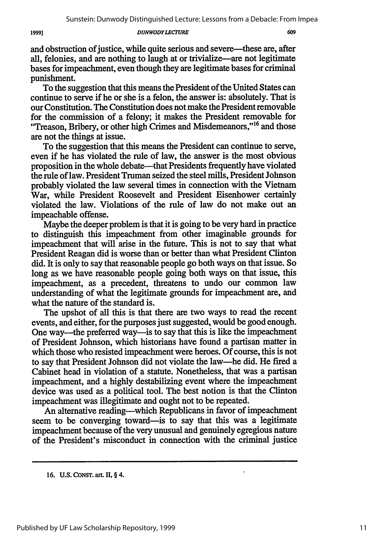609

and obstruction of justice, while quite serious and severe—these are, after all, felonies, and are nothing to laugh at or trivialize—are not legitimate bases for impeachment, even though they are legitimate bases for criminal punishment.

To the suggestion that this means the President of the United States can continue to serve if he or she is a felon, the answer is: absolutely. That is our Constitution. The Constitution does not make the President removable for the commission of a felony; it makes the President removable for "Treason, Bribery, or other high Crimes and Misdemeanors,"<sup>16</sup> and those are not the things at issue.

To the suggestion that this means the President can continue to serve, even if he has violated the rule of law, the answer is the most obvious proposition in the whole debate—that Presidents frequently have violated the rule of law. President Truman seized the steel mills, President Johnson probably violated the law several times in connection with the Vietnam War, while President Roosevelt and President Eisenhower certainly violated the law. Violations of the rule of law do not make out an impeachable offense.

Maybe the deeper problem is that it is going to be very hard in practice to distinguish this impeachment from other imaginable grounds for impeachment that will arise in the future. This is not to say that what President Reagan did is worse than or better than what President Clinton did. It is only to say that reasonable people go both ways on that issue. So long as we have reasonable people going both ways on that issue, this impeachment, as a precedent, threatens to undo our common law understanding of what the legitimate grounds for impeachment are, and what the nature of the standard is.

The upshot of all this is that there are two ways to read the recent events, and either, for the purposes just suggested, would be good enough. One way-the preferred way-is to say that this is like the impeachment of President Johnson, which historians have found a partisan matter in which those who resisted impeachment were heroes. Of course, this is not to say that President Johnson did not violate the law-he did. He fired a Cabinet head in violation of a statute. Nonetheless, that was a partisan impeachment, and a highly destabilizing event where the impeachment device was used as a political tool. The best notion is that the Clinton impeachment was illegitimate and ought not to be repeated.

An alternative reading—which Republicans in favor of impeachment seem to be converging toward—is to say that this was a legitimate impeachment because of the very unusual and genuinely egregious nature of the President's misconduct in connection with the criminal justice

l,

**<sup>16.</sup> U.S. CONST. art. II,** § 4.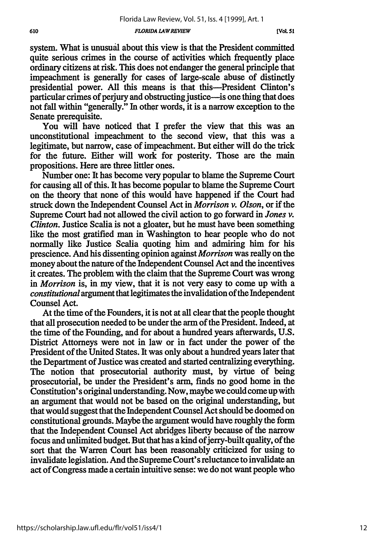system. What is unusual about this view is that the President committed quite serious crimes in the course of activities which frequently place ordinary citizens at risk. This does not endanger the general principle that impeachment is generally for cases of large-scale abuse of distinctly presidential power. All this means is that this-President Clinton's particular crimes of perjury and obstructing justice-is one thing that does not fall within "generally." In other words, it is a narrow exception to the Senate prerequisite.

You will have noticed that I prefer the view that this was an unconstitutional impeachment to the second view, that this was a legitimate, but narrow, case of impeachment. But either will do the trick for the future. Either will work for posterity. Those are the main propositions. Here are three littler ones.

Number one: It has become very popular to blame the Supreme Court for causing all of this. It has become popular to blame the Supreme Court on the theory that none of this would have happened if the Court had struck down the Independent Counsel Act in *Morrison v. Olson,* or if the Supreme Court had not allowed the civil action to go forward in *Jones v. Clinton.* Justice Scalia is not a gloater, but he must have been something like the most gratified man in Washington to hear people who do not normally like Justice Scalia quoting him and admiring him for his prescience. And his dissenting opinion against *Morrison* was really on the money about the nature of the Independent Counsel Act and the incentives it creates. The problem with the claim that the Supreme Court was wrong in *Morrison* is, in my view, that it is not very easy to come up with a *constitutional* argument that legitimates the invalidation of the Independent Counsel Act.

At the time of the Founders, it is not at all clear that the people thought that all prosecution needed to be under the arm of the President. Indeed, at the time of the Founding, and for about a hundred years afterwards, U.S. District Attorneys were not in law or in fact under the power of the President of the United States. It was only about a hundred years later that the Department of Justice was created and started centralizing everything. The notion that prosecutorial authority must, by virtue of being prosecutorial, be under the President's arm, finds no good home in the Constitution's original understanding. Now, maybe we could come up with an argument that would not be based on the original understanding, but that would suggest that the Independent Counsel Act should be doomed on constitutional grounds. Maybe the argument would have roughly the form that the Independent Counsel Act abridges liberty because of the narrow focus and unlimited budget. But that has a kind of jerry-built quality, of the sort that the Warren Court has been reasonably criticized for using to invalidate legislation. And the Supreme Court's reluctance to invalidate an act of Congress made a certain intuitive sense: we do not want people who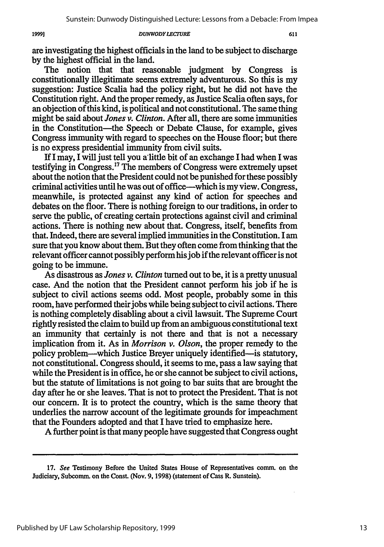are investigating the highest officials in the land to be subject to discharge by the highest official in the land.

The notion that that reasonable judgment by Congress is constitutionally illegitimate seems extremely adventurous. So this is my suggestion: Justice Scalia had the policy right, but he did not have the Constitution right. And the proper remedy, as Justice Scalia often says, for an objection of this kind, is political and not constitutional. The same thing might be said about *Jones v. Clinton.* After all, there are some immunities in the Constitution-the Speech or Debate Clause, for example, gives Congress immunity with regard to speeches on the House floor; but there is no express presidential immunity from civil suits.

If I may, I will just tell you a little bit of an exchange I had when I was testifying in Congress.17 The members of Congress were extremely upset about the notion that the President could not be punished for these possibly criminal activities until he was out of office-which is my view. Congress, meanwhile, is protected against any kind of action for speeches and debates on the floor. There is nothing foreign to our traditions, in order to serve the public, of creating certain protections against civil and criminal actions. There is nothing new about that. Congress, itself, benefits from that. Indeed, there are several implied immunities in the Constitution. I am sure that you know about them. But they often come from thinking that the relevant officer cannot possibly perform his job if the relevant officer is not going to be immune.

As disastrous as *Jones v. Clinton* turned out to be, it is a pretty unusual case. And the notion that the President cannot perform his job if he is subject to civil actions seems odd. Most people, probably some in this room, have performed their jobs while being subject to civil actions. There is nothing completely disabling about a civil lawsuit. The Supreme Court rightly resisted the claim to build up from an ambiguous constitutional text an immunity that certainly is not there and that is not a necessary implication from it. As in *Morrison v. Olson,* the proper remedy to the policy problem-which Justice Breyer uniquely identified-is statutory, not constitutional. Congress should, it seems to me, pass a law saying that while the President is in office, he or she cannot be subject to civil actions, but the statute of limitations is not going to bar suits that are brought the day after he or she leaves. That is not to protect the President. That is not our concern. It is to protect the country, which is the same theory that underlies the narrow account of the legitimate grounds for impeachment that the Founders adopted and that I have tried to emphasize here.

A further point is that many people have suggested that Congress ought

**<sup>17.</sup> See** Testimony Before the United States House of Representatives comm. on the Judiciary, Subcomm. on the Const. (Nov. 9, 1998) (statement of Cass R. Sunstein).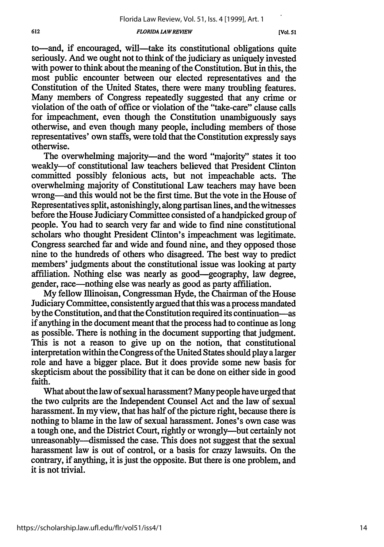to-and, if encouraged, will-take its constitutional obligations quite seriously. And we ought not to think of the judiciary as uniquely invested with power to think about the meaning of the Constitution. But in this, the most public encounter between our elected representatives and the Constitution of the United States, there were many troubling features. Many members of Congress repeatedly suggested that any crime or violation of the oath of office or violation of the "take-care" clause calls for impeachment, even though the Constitution unambiguously says otherwise, and even though many people, including members of those representatives' own staffs, were told that the Constitution expressly says otherwise.

The overwhelming majority—and the word "majority" states it too weakly-of constitutional law teachers believed that President Clinton committed possibly felonious acts, but not impeachable acts. The overwhelming majority of Constitutional Law teachers may have been wrong-and this would not be the first time. But the vote in the House of Representatives split, astonishingly, along partisan lines, and the witnesses before the House Judiciary Committee consisted of a handpicked group of people. You had to search very far and wide to find nine constitutional scholars who thought President Clinton's impeachment was legitimate. Congress searched far and wide and found nine, and they opposed those nine to the hundreds of others who disagreed. The best way to predict members' judgments about the constitutional issue was looking at party affiliation. Nothing else was nearly as good-geography, law degree, gender, race-nothing else was nearly as good as party affiliation.

My fellow llinoisan, Congressman Hyde, the Chairman of the House Judiciary Committee, consistently argued that this was a process mandated by the Constitution, and that the Constitution required its continuation-as if anything in the document meant that the process had to continue as long as possible. There is nothing in the document supporting that judgment. This is not a reason to give up on the notion, that constitutional interpretation within the Congress of the United States should play a larger role and have a bigger place. But it does provide some new basis for skepticism about the possibility that it can be done on either side in good faith.

What about the law of sexual harassment? Many people have urged that the two culprits are the Independent Counsel Act and the law of sexual harassment. In my view, that has half of the picture right, because there is nothing to blame in the law of sexual harassment. Jones's own case was a tough one, and the District Court, rightly or wrongly-but certainly not unreasonably--dismissed the case. This does not suggest that the sexual harassment law is out of control, or a basis for crazy lawsuits. On the contrary, if anything, it is just the opposite. But there is one problem, and it is not trivial.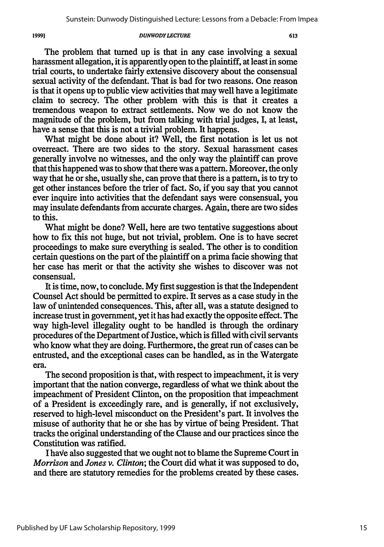The problem that turned up is that in any case involving a sexual harassment allegation, it is apparently open to the plaintiff, at least in some trial courts, to undertake fairly extensive discovery about the consensual sexual activity of the defendant. That is bad for two reasons. One reason is that it opens up to public view activities that may well have a legitimate claim to secrecy. The other problem with this is that it creates a tremendous weapon to extract settlements. Now we do not know the magnitude of the problem, but from talking with trial judges, I, at least, have a sense that this is not a trivial problem. It happens.

What might be done about it? Well, the first notation is let us not overreact. There are two sides to the story. Sexual harassment cases generally involve no witnesses, and the only way the plaintiff can prove that this happened was to show that there was a pattern. Moreover, the only way that he or she, usually she, can prove that there is a pattern, is to try to get other instances before the trier of fact. So, if you say that you cannot ever inquire into activities that the defendant says were consensual, you may insulate defendants from accurate charges. Again, there are two sides to this.

What might be done? Well, here are two tentative suggestions about how to fix this not huge, but not trivial, problem. One is to have secret proceedings to make sure everything is sealed. The other is to condition certain questions on the part of the plaintiff on a prima facie showing that her case has merit or that the activity she wishes to discover was not consensual.

It is time, now, to conclude. My first suggestion is that the Independent Counsel Act should be permitted to expire. It serves as a case study in the law of unintended consequences. This, after all, was a statute designed to increase trust in government, yet it has had exactly the opposite effect. The way high-level illegality ought to be handled is through the ordinary procedures of the Department of Justice, which is filled with civil servants who know what they are doing. Furthermore, the great run of cases can be entrusted, and the exceptional cases can be handled, as in the Watergate era.

The second proposition is that, with respect to impeachment, it is very important that the nation converge, regardless of what we think about the impeachment of President Clinton, on the proposition that impeachment of a President is exceedingly rare, and is generally, if not exclusively, reserved to high-level misconduct on the President's part. It involves the misuse of authority that he or she has **by** virtue of being President. That tracks the original understanding of the Clause and our practices since the Constitution was ratified.

I have also suggested that we ought not to blame the Supreme Court in *Morrison and Jones v. Clinton;* the Court did what it was supposed to do, and there are statutory remedies for the problems created by these cases.